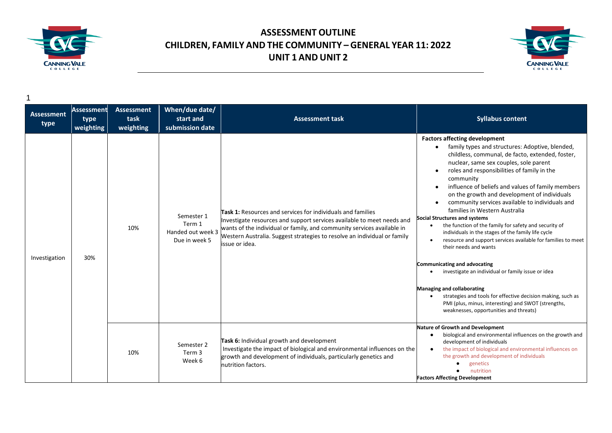



**Assessment type Assessment type weighting Assessment task weighting When/due date/ start and submission date Assessment task Syllabus content** Investigation 30% 10% Semester 1 Term 1 Handed out week 3 Due in week 5 **Task 1:** Resources and services for individuals and families Investigate resources and support services available to meet needs and wants of the individual or family, and community services available in Western Australia. Suggest strategies to resolve an individual or family issue or idea. **Factors affecting development** ● family types and structures: Adoptive, blended, childless, communal, de facto, extended, foster, nuclear, same sex couples, sole parent ● roles and responsibilities of family in the community ● influence of beliefs and values of family members on the growth and development of individuals ● community services available to individuals and families in Western Australia **Social Structures and systems** • the function of the family for safety and security of individuals in the stages of the family life cycle • resource and support services available for families to meet their needs and wants **Communicating and advocating** • investigate an individual or family issue or idea **Managing and collaborating** • strategies and tools for effective decision making, such as PMI (plus, minus, interesting) and SWOT (strengths, weaknesses, opportunities and threats) 10% Semester 2 Term 3 Week 6 **Task 6:** Individual growth and development Investigate the impact of biological and environmental influences on the growth and development of individuals, particularly genetics and nutrition factors. **Nature of Growth and Development** ● biological and environmental influences on the growth and development of individuals ● the impact of biological and environmental influences on the growth and development of individuals ● genetics ● nutrition **Factors Affecting Development**

1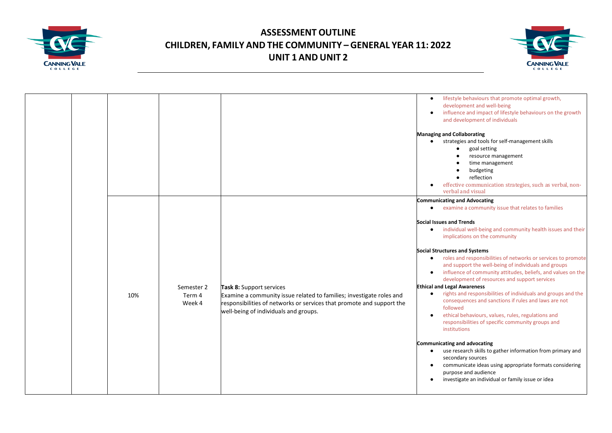



|     |                                |                                                                                                                                                                                                                    | lifestyle behaviours that promote optimal growth,<br>development and well-being<br>influence and impact of lifestyle behaviours on the growth<br>and development of individuals<br><b>Managing and Collaborating</b><br>strategies and tools for self-management skills<br>goal setting<br>$\bullet$<br>resource management<br>time management<br>budgeting<br>reflection<br>$\bullet$<br>effective communication strategies, such as verbal, non-<br>verbal and visual                                                                                                                                                                                                                                                                                                                                                                                                                                                                                                                                                                                                                                                                                       |
|-----|--------------------------------|--------------------------------------------------------------------------------------------------------------------------------------------------------------------------------------------------------------------|---------------------------------------------------------------------------------------------------------------------------------------------------------------------------------------------------------------------------------------------------------------------------------------------------------------------------------------------------------------------------------------------------------------------------------------------------------------------------------------------------------------------------------------------------------------------------------------------------------------------------------------------------------------------------------------------------------------------------------------------------------------------------------------------------------------------------------------------------------------------------------------------------------------------------------------------------------------------------------------------------------------------------------------------------------------------------------------------------------------------------------------------------------------|
| 10% | Semester 2<br>Term 4<br>Week 4 | Task 8: Support services<br>Examine a community issue related to families; investigate roles and<br>responsibilities of networks or services that promote and support the<br>well-being of individuals and groups. | <b>Communicating and Advocating</b><br>examine a community issue that relates to families<br>$\bullet$<br><b>Social Issues and Trends</b><br>individual well-being and community health issues and their<br>$\bullet$<br>implications on the community<br><b>Social Structures and Systems</b><br>roles and responsibilities of networks or services to promote<br>$\bullet$<br>and support the well-being of individuals and groups<br>influence of community attitudes, beliefs, and values on the<br>development of resources and support services<br><b>Ethical and Legal Awareness</b><br>rights and responsibilities of individuals and groups and the<br>$\bullet$<br>consequences and sanctions if rules and laws are not<br>followed<br>ethical behaviours, values, rules, regulations and<br>responsibilities of specific community groups and<br>institutions<br>Communicating and advocating<br>use research skills to gather information from primary and<br>$\bullet$<br>secondary sources<br>communicate ideas using appropriate formats considering<br>$\bullet$<br>purpose and audience<br>investigate an individual or family issue or idea |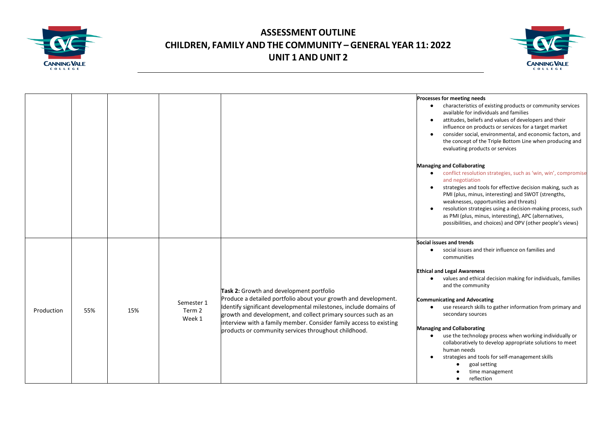



|            |     |     |                                |                                                                                                                                                                                                                                                                                                                                                                                  | Processes for meeting needs<br>characteristics of existing products or community services<br>available for individuals and families<br>attitudes, beliefs and values of developers and their<br>$\bullet$<br>influence on products or services for a target market<br>consider social, environmental, and economic factors, and<br>the concept of the Triple Bottom Line when producing and<br>evaluating products or services                                                                                                                                                                                                                                                                                 |
|------------|-----|-----|--------------------------------|----------------------------------------------------------------------------------------------------------------------------------------------------------------------------------------------------------------------------------------------------------------------------------------------------------------------------------------------------------------------------------|----------------------------------------------------------------------------------------------------------------------------------------------------------------------------------------------------------------------------------------------------------------------------------------------------------------------------------------------------------------------------------------------------------------------------------------------------------------------------------------------------------------------------------------------------------------------------------------------------------------------------------------------------------------------------------------------------------------|
|            |     |     |                                |                                                                                                                                                                                                                                                                                                                                                                                  | <b>Managing and Collaborating</b><br>conflict resolution strategies, such as 'win, win', compromise<br>and negotiation<br>strategies and tools for effective decision making, such as<br>$\bullet$<br>PMI (plus, minus, interesting) and SWOT (strengths,<br>weaknesses, opportunities and threats)<br>resolution strategies using a decision-making process, such<br>as PMI (plus, minus, interesting), APC (alternatives,<br>possibilities, and choices) and OPV (other people's views)                                                                                                                                                                                                                      |
| Production | 55% | 15% | Semester 1<br>Term 2<br>Week 1 | Task 2: Growth and development portfolio<br>Produce a detailed portfolio about your growth and development.<br>Identify significant developmental milestones, include domains of<br>growth and development, and collect primary sources such as an<br>interview with a family member. Consider family access to existing<br>products or community services throughout childhood. | Social issues and trends<br>social issues and their influence on families and<br>$\bullet$<br>communities<br><b>Ethical and Legal Awareness</b><br>values and ethical decision making for individuals, families<br>$\bullet$<br>and the community<br><b>Communicating and Advocating</b><br>use research skills to gather information from primary and<br>$\bullet$<br>secondary sources<br><b>Managing and Collaborating</b><br>use the technology process when working individually or<br>$\bullet$<br>collaboratively to develop appropriate solutions to meet<br>human needs<br>strategies and tools for self-management skills<br>goal setting<br>$\bullet$<br>time management<br>reflection<br>$\bullet$ |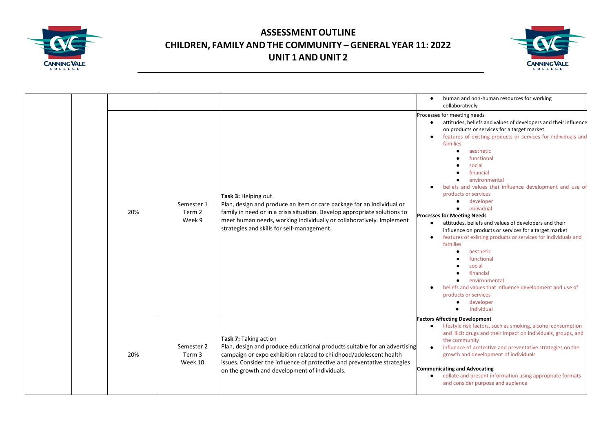



|  |  |                          |                                |                                                                                                                                                                                                                                                                                                       | human and non-human resources for working<br>$\bullet$<br>collaboratively                                                                                                                                                                                                                                                                                                                                                                                                                                                                                                                                                                                                                                                                                                                                                                                                                                                                                |
|--|--|--------------------------|--------------------------------|-------------------------------------------------------------------------------------------------------------------------------------------------------------------------------------------------------------------------------------------------------------------------------------------------------|----------------------------------------------------------------------------------------------------------------------------------------------------------------------------------------------------------------------------------------------------------------------------------------------------------------------------------------------------------------------------------------------------------------------------------------------------------------------------------------------------------------------------------------------------------------------------------------------------------------------------------------------------------------------------------------------------------------------------------------------------------------------------------------------------------------------------------------------------------------------------------------------------------------------------------------------------------|
|  |  | 20%                      | Semester 1<br>Term 2<br>Week 9 | Task 3: Helping out<br>Plan, design and produce an item or care package for an individual or<br>family in need or in a crisis situation. Develop appropriate solutions to<br>meet human needs, working individually or collaboratively. Implement<br>strategies and skills for self-management.       | Processes for meeting needs<br>attitudes, beliefs and values of developers and their influence<br>$\bullet$<br>on products or services for a target market<br>features of existing products or services for individuals and<br>$\bullet$<br>families<br>aesthetic<br>$\bullet$<br>functional<br>social<br>financial<br>environmental<br>beliefs and values that influence development and use of<br>products or services<br>developer<br>$\bullet$<br>individual<br><b>Processes for Meeting Needs</b><br>attitudes, beliefs and values of developers and their<br>$\bullet$<br>influence on products or services for a target market<br>features of existing products or services for individuals and<br>families<br>aesthetic<br>$\bullet$<br>functional<br>social<br>financial<br>environmental<br>$\bullet$<br>beliefs and values that influence development and use of<br>products or services<br>developer<br>$\bullet$<br>individual<br>$\bullet$ |
|  |  | 20%<br>Term 3<br>Week 10 |                                | Task 7: Taking action<br>Plan, design and produce educational products suitable for an advertising<br>campaign or expo exhibition related to childhood/adolescent health<br>issues. Consider the influence of protective and preventative strategies<br>on the growth and development of individuals. | <b>Factors Affecting Development</b><br>lifestyle risk factors, such as smoking, alcohol consumption<br>and illicit drugs and their impact on individuals, groups, and                                                                                                                                                                                                                                                                                                                                                                                                                                                                                                                                                                                                                                                                                                                                                                                   |
|  |  |                          | Semester 2                     |                                                                                                                                                                                                                                                                                                       | the community<br>influence of protective and preventative strategies on the<br>$\bullet$<br>growth and development of individuals                                                                                                                                                                                                                                                                                                                                                                                                                                                                                                                                                                                                                                                                                                                                                                                                                        |
|  |  |                          |                                |                                                                                                                                                                                                                                                                                                       | <b>Communicating and Advocating</b><br>collate and present information using appropriate formats<br>and consider purpose and audience                                                                                                                                                                                                                                                                                                                                                                                                                                                                                                                                                                                                                                                                                                                                                                                                                    |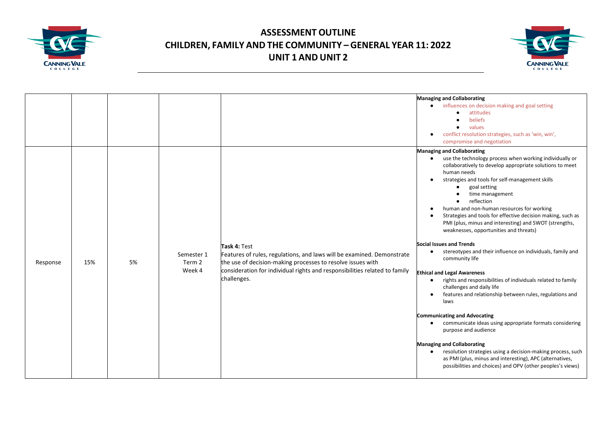



|          |     |    |                                |                                                                                                                                                                                                                                                    | <b>Managing and Collaborating</b><br>influences on decision making and goal setting<br>$\bullet$<br>attitudes<br>$\bullet$<br>beliefs<br>values<br>$\bullet$<br>conflict resolution strategies, such as 'win, win',<br>compromise and negotiation                                                                                                                                                                                                                                                                                                                                                                                                                                                                                                                                                                                                                                                                                                                                                                                                                                                                                                                                                                                                           |
|----------|-----|----|--------------------------------|----------------------------------------------------------------------------------------------------------------------------------------------------------------------------------------------------------------------------------------------------|-------------------------------------------------------------------------------------------------------------------------------------------------------------------------------------------------------------------------------------------------------------------------------------------------------------------------------------------------------------------------------------------------------------------------------------------------------------------------------------------------------------------------------------------------------------------------------------------------------------------------------------------------------------------------------------------------------------------------------------------------------------------------------------------------------------------------------------------------------------------------------------------------------------------------------------------------------------------------------------------------------------------------------------------------------------------------------------------------------------------------------------------------------------------------------------------------------------------------------------------------------------|
| Response | 15% | 5% | Semester 1<br>Term 2<br>Week 4 | Task 4: Test<br>Features of rules, regulations, and laws will be examined. Demonstrate<br>the use of decision-making processes to resolve issues with<br>consideration for individual rights and responsibilities related to family<br>challenges. | <b>Managing and Collaborating</b><br>use the technology process when working individually or<br>$\bullet$<br>collaboratively to develop appropriate solutions to meet<br>human needs<br>strategies and tools for self-management skills<br>goal setting<br>$\bullet$<br>time management<br>reflection<br>human and non-human resources for working<br>Strategies and tools for effective decision making, such as<br>PMI (plus, minus and interesting) and SWOT (strengths,<br>weaknesses, opportunities and threats)<br><b>Social Issues and Trends</b><br>stereotypes and their influence on individuals, family and<br>$\bullet$<br>community life<br><b>Ethical and Legal Awareness</b><br>rights and responsibilities of individuals related to family<br>$\bullet$<br>challenges and daily life<br>features and relationship between rules, regulations and<br>laws<br><b>Communicating and Advocating</b><br>communicate ideas using appropriate formats considering<br>$\bullet$<br>purpose and audience<br><b>Managing and Collaborating</b><br>resolution strategies using a decision-making process, such<br>$\bullet$<br>as PMI (plus, minus and interesting), APC (alternatives,<br>possibilities and choices) and OPV (other peoples's views) |